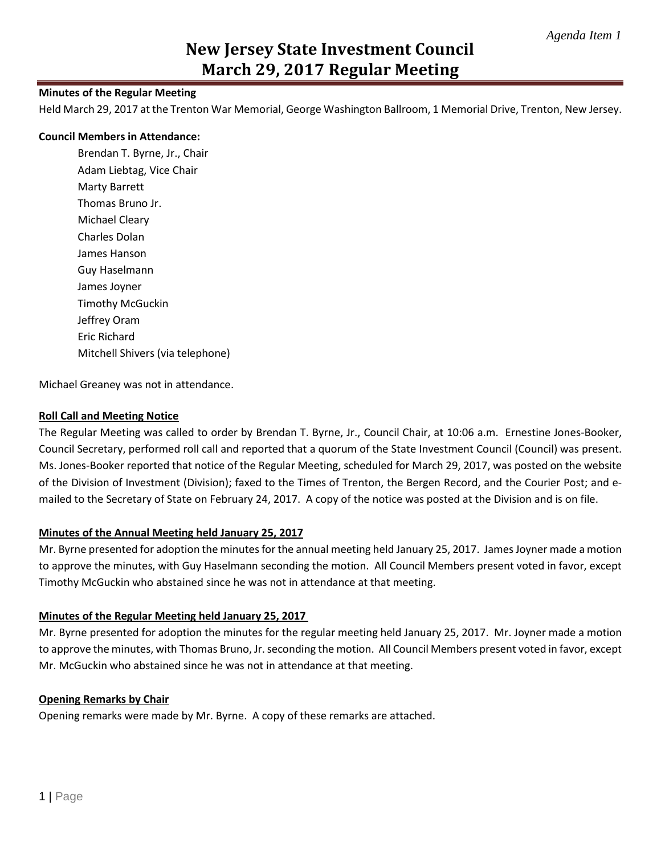# **New Jersey State Investment Council March 29, 2017 Regular Meeting**

## **Minutes of the Regular Meeting**

Held March 29, 2017 at the Trenton War Memorial, George Washington Ballroom, 1 Memorial Drive, Trenton, New Jersey.

#### **Council Members in Attendance:**

Brendan T. Byrne, Jr., Chair Adam Liebtag, Vice Chair Marty Barrett Thomas Bruno Jr. Michael Cleary Charles Dolan James Hanson Guy Haselmann James Joyner Timothy McGuckin Jeffrey Oram Eric Richard Mitchell Shivers (via telephone)

Michael Greaney was not in attendance.

### **Roll Call and Meeting Notice**

The Regular Meeting was called to order by Brendan T. Byrne, Jr., Council Chair, at 10:06 a.m. Ernestine Jones-Booker, Council Secretary, performed roll call and reported that a quorum of the State Investment Council (Council) was present. Ms. Jones-Booker reported that notice of the Regular Meeting, scheduled for March 29, 2017, was posted on the website of the Division of Investment (Division); faxed to the Times of Trenton, the Bergen Record, and the Courier Post; and emailed to the Secretary of State on February 24, 2017. A copy of the notice was posted at the Division and is on file.

## **Minutes of the Annual Meeting held January 25, 2017**

Mr. Byrne presented for adoption the minutes for the annual meeting held January 25, 2017. James Joyner made a motion to approve the minutes, with Guy Haselmann seconding the motion. All Council Members present voted in favor, except Timothy McGuckin who abstained since he was not in attendance at that meeting.

## **Minutes of the Regular Meeting held January 25, 2017**

Mr. Byrne presented for adoption the minutes for the regular meeting held January 25, 2017. Mr. Joyner made a motion to approve the minutes, with Thomas Bruno, Jr. seconding the motion. All Council Members present voted in favor, except Mr. McGuckin who abstained since he was not in attendance at that meeting.

#### **Opening Remarks by Chair**

Opening remarks were made by Mr. Byrne. A copy of these remarks are attached.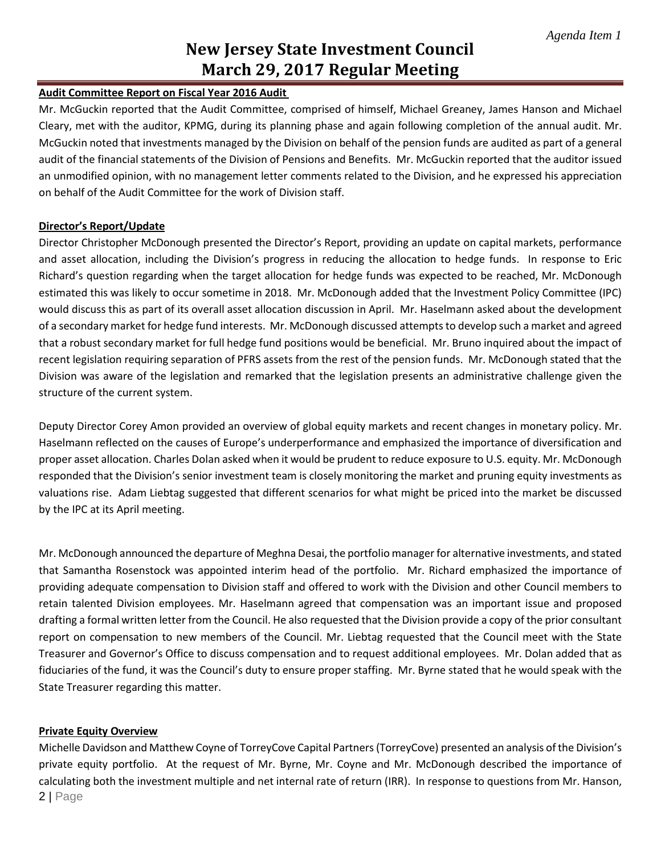# **New Jersey State Investment Council March 29, 2017 Regular Meeting**

# **Audit Committee Report on Fiscal Year 2016 Audit**

Mr. McGuckin reported that the Audit Committee, comprised of himself, Michael Greaney, James Hanson and Michael Cleary, met with the auditor, KPMG, during its planning phase and again following completion of the annual audit. Mr. McGuckin noted that investments managed by the Division on behalf of the pension funds are audited as part of a general audit of the financial statements of the Division of Pensions and Benefits. Mr. McGuckin reported that the auditor issued an unmodified opinion, with no management letter comments related to the Division, and he expressed his appreciation on behalf of the Audit Committee for the work of Division staff.

# **Director's Report/Update**

Director Christopher McDonough presented the Director's Report, providing an update on capital markets, performance and asset allocation, including the Division's progress in reducing the allocation to hedge funds. In response to Eric Richard's question regarding when the target allocation for hedge funds was expected to be reached, Mr. McDonough estimated this was likely to occur sometime in 2018. Mr. McDonough added that the Investment Policy Committee (IPC) would discuss this as part of its overall asset allocation discussion in April. Mr. Haselmann asked about the development of a secondary market for hedge fund interests. Mr. McDonough discussed attemptsto develop such a market and agreed that a robust secondary market for full hedge fund positions would be beneficial. Mr. Bruno inquired about the impact of recent legislation requiring separation of PFRS assets from the rest of the pension funds. Mr. McDonough stated that the Division was aware of the legislation and remarked that the legislation presents an administrative challenge given the structure of the current system.

Deputy Director Corey Amon provided an overview of global equity markets and recent changes in monetary policy. Mr. Haselmann reflected on the causes of Europe's underperformance and emphasized the importance of diversification and proper asset allocation. Charles Dolan asked when it would be prudent to reduce exposure to U.S. equity. Mr. McDonough responded that the Division's senior investment team is closely monitoring the market and pruning equity investments as valuations rise. Adam Liebtag suggested that different scenarios for what might be priced into the market be discussed by the IPC at its April meeting.

Mr. McDonough announced the departure of Meghna Desai, the portfolio manager for alternative investments, and stated that Samantha Rosenstock was appointed interim head of the portfolio. Mr. Richard emphasized the importance of providing adequate compensation to Division staff and offered to work with the Division and other Council members to retain talented Division employees. Mr. Haselmann agreed that compensation was an important issue and proposed drafting a formal written letter from the Council. He also requested that the Division provide a copy of the prior consultant report on compensation to new members of the Council. Mr. Liebtag requested that the Council meet with the State Treasurer and Governor's Office to discuss compensation and to request additional employees. Mr. Dolan added that as fiduciaries of the fund, it was the Council's duty to ensure proper staffing. Mr. Byrne stated that he would speak with the State Treasurer regarding this matter.

## **Private Equity Overview**

2 | Page Michelle Davidson and Matthew Coyne of TorreyCove Capital Partners (TorreyCove) presented an analysis of the Division's private equity portfolio. At the request of Mr. Byrne, Mr. Coyne and Mr. McDonough described the importance of calculating both the investment multiple and net internal rate of return (IRR). In response to questions from Mr. Hanson,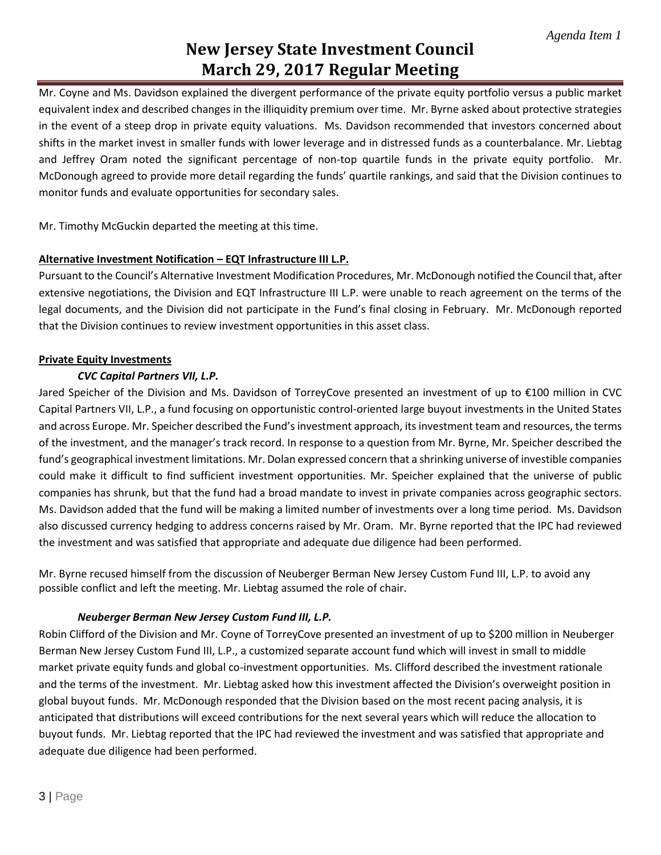# **New Jersey State Investment Council March 29, 2017 Regular Meeting**

Mr. Coyne and Ms. Davidson explained the divergent performance of the private equity portfolio versus a public market equivalent index and described changes in the illiquidity premium over time. Mr. Byrne asked about protective strategies in the event of a steep drop in private equity valuations. Ms. Davidson recommended that investors concerned about shifts in the market invest in smaller funds with lower leverage and in distressed funds as a counterbalance. Mr. Liebtag and Jeffrey Oram noted the significant percentage of non-top quartile funds in the private equity portfolio. Mr. McDonough agreed to provide more detail regarding the funds' quartile rankings, and said that the Division continues to monitor funds and evaluate opportunities for secondary sales.

Mr. Timothy McGuckin departed the meeting at this time.

# **Alternative Investment Notification – EQT Infrastructure III L.P.**

Pursuant to the Council's Alternative Investment Modification Procedures, Mr. McDonough notified the Council that, after extensive negotiations, the Division and EQT Infrastructure III L.P. were unable to reach agreement on the terms of the legal documents, and the Division did not participate in the Fund's final closing in February. Mr. McDonough reported that the Division continues to review investment opportunities in this asset class.

# **Private Equity Investments**

# *CVC Capital Partners VII, L.P.*

Jared Speicher of the Division and Ms. Davidson of TorreyCove presented an investment of up to €100 million in CVC Capital Partners VII, L.P., a fund focusing on opportunistic control-oriented large buyout investments in the United States and across Europe. Mr. Speicher described the Fund's investment approach, its investment team and resources, the terms of the investment, and the manager's track record. In response to a question from Mr. Byrne, Mr. Speicher described the fund's geographical investment limitations. Mr. Dolan expressed concern that a shrinking universe of investible companies could make it difficult to find sufficient investment opportunities. Mr. Speicher explained that the universe of public companies has shrunk, but that the fund had a broad mandate to invest in private companies across geographic sectors. Ms. Davidson added that the fund will be making a limited number of investments over a long time period. Ms. Davidson also discussed currency hedging to address concerns raised by Mr. Oram. Mr. Byrne reported that the IPC had reviewed the investment and was satisfied that appropriate and adequate due diligence had been performed.

Mr. Byrne recused himself from the discussion of Neuberger Berman New Jersey Custom Fund III, L.P. to avoid any possible conflict and left the meeting. Mr. Liebtag assumed the role of chair.

## *Neuberger Berman New Jersey Custom Fund III, L.P.*

Robin Clifford of the Division and Mr. Coyne of TorreyCove presented an investment of up to \$200 million in Neuberger Berman New Jersey Custom Fund III, L.P., a customized separate account fund which will invest in small to middle market private equity funds and global co-investment opportunities. Ms. Clifford described the investment rationale and the terms of the investment. Mr. Liebtag asked how this investment affected the Division's overweight position in global buyout funds. Mr. McDonough responded that the Division based on the most recent pacing analysis, it is anticipated that distributions will exceed contributions for the next several years which will reduce the allocation to buyout funds. Mr. Liebtag reported that the IPC had reviewed the investment and was satisfied that appropriate and adequate due diligence had been performed.